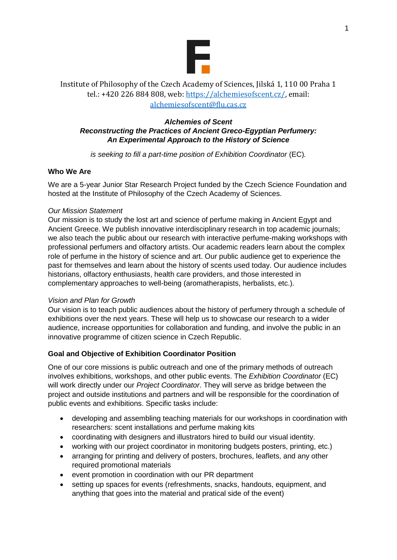

# Institute of Philosophy of the Czech Academy of Sciences, Jilská 1, 110 00 Praha 1 tel.: +420 226 884 808, web: [https://alchemiesofscent.cz/,](https://alchemiesofscent.cz/) email: [alchemiesofscent@flu.cas.cz](mailto:alchemiesofscent@flu.cas.cz)

## *Alchemies of Scent Reconstructing the Practices of Ancient Greco-Egyptian Perfumery: An Experimental Approach to the History of Science*

*is seeking to fill a part-time position of Exhibition Coordinator* (EC)*.*

# **Who We Are**

We are a 5-year Junior Star Research Project funded by the Czech Science Foundation and hosted at the Institute of Philosophy of the Czech Academy of Sciences.

### *Our Mission Statement*

Our mission is to study the lost art and science of perfume making in Ancient Egypt and Ancient Greece. We publish innovative interdisciplinary research in top academic journals; we also teach the public about our research with interactive perfume-making workshops with professional perfumers and olfactory artists. Our academic readers learn about the complex role of perfume in the history of science and art. Our public audience get to experience the past for themselves and learn about the history of scents used today. Our audience includes historians, olfactory enthusiasts, health care providers, and those interested in complementary approaches to well-being (aromatherapists, herbalists, etc.).

### *Vision and Plan for Growth*

Our vision is to teach public audiences about the history of perfumery through a schedule of exhibitions over the next years. These will help us to showcase our research to a wider audience, increase opportunities for collaboration and funding, and involve the public in an innovative programme of citizen science in Czech Republic.

# **Goal and Objective of Exhibition Coordinator Position**

One of our core missions is public outreach and one of the primary methods of outreach involves exhibitions, workshops, and other public events. The *Exhibition Coordinator* (EC) will work directly under our *Project Coordinator*. They will serve as bridge between the project and outside institutions and partners and will be responsible for the coordination of public events and exhibitions. Specific tasks include:

- developing and assembling teaching materials for our workshops in coordination with researchers: scent installations and perfume making kits
- coordinating with designers and illustrators hired to build our visual identity.
- working with our project coordinator in monitoring budgets posters, printing, etc.)
- arranging for printing and delivery of posters, brochures, leaflets, and any other required promotional materials
- event promotion in coordination with our PR department
- setting up spaces for events (refreshments, snacks, handouts, equipment, and anything that goes into the material and pratical side of the event)